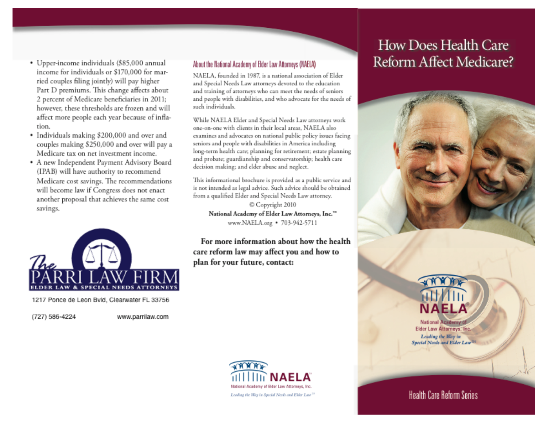- · Upper-income individuals (\$85,000 annual income for individuals or \$170,000 for married couples filing jointly) will pay higher Part D premiums. This change affects about 2 percent of Medicare beneficiaries in 2011; however, these thresholds are frozen and will affect more people each year because of inflation.
- · Individuals making \$200,000 and over and couples making \$250,000 and over will pay a Medicare tax on net investment income.
- A new Independent Payment Advisory Board (IPAB) will have authority to recommend Medicare cost savings. The recommendations will become law if Congress does not enact another proposal that achieves the same cost savings.

1217 Ponce de Leon Bvld, Clearwater FL 33756

www.parrilaw.com

(727) 586-4224

#### About the National Academy of Elder Law Attorneys (NAELA)

NAELA, founded in 1987, is a national association of Elder and Special Needs Law attorneys devoted to the education and training of attorneys who can meet the needs of seniors and people with disabilities, and who advocate for the needs of such individuals.

While NAELA Elder and Special Needs Law attorneys work one-on-one with clients in their local areas, NAELA also examines and advocates on national public policy issues facing seniors and people with disabilities in America including long-term health care; planning for retirement; estate planning and probate; guardianship and conservatorship; health care decision making; and elder abuse and neglect.

This informational brochure is provided as a public service and is not intended as legal advice. Such advice should be obtained from a qualified Elder and Special Needs Law attorney.

Copyright 2010 National Academy of Elder Law Attorneys, Inc."" www.NAELA.org • 703-942-5711

For more information about how the health care reform law may affect you and how to plan for your future, contact:



# How Does Health Care Reform Affect Medicare?





National Academy: Elder Law Attorneys, Inc. Leading the Way in **Special Needs and Elder Law** 

## **Health Care Reform Series**